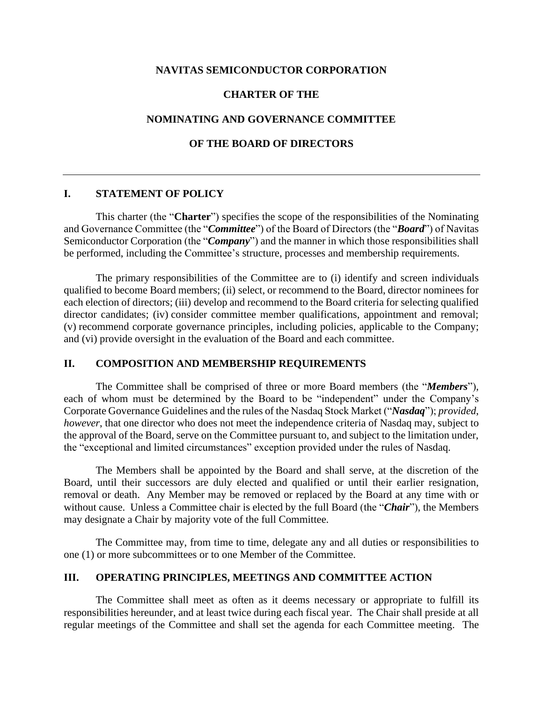### **NAVITAS SEMICONDUCTOR CORPORATION**

### **CHARTER OF THE**

## **NOMINATING AND GOVERNANCE COMMITTEE**

## **OF THE BOARD OF DIRECTORS**

#### **I. STATEMENT OF POLICY**

This charter (the "**Charter**") specifies the scope of the responsibilities of the Nominating and Governance Committee (the "*Committee*") of the Board of Directors (the "*Board*") of Navitas Semiconductor Corporation (the "*Company*") and the manner in which those responsibilities shall be performed, including the Committee's structure, processes and membership requirements.

The primary responsibilities of the Committee are to (i) identify and screen individuals qualified to become Board members; (ii) select, or recommend to the Board, director nominees for each election of directors; (iii) develop and recommend to the Board criteria for selecting qualified director candidates; (iv) consider committee member qualifications, appointment and removal; (v) recommend corporate governance principles, including policies, applicable to the Company; and (vi) provide oversight in the evaluation of the Board and each committee.

#### **II. COMPOSITION AND MEMBERSHIP REQUIREMENTS**

The Committee shall be comprised of three or more Board members (the "*Members*"), each of whom must be determined by the Board to be "independent" under the Company's Corporate Governance Guidelines and the rules of the Nasdaq Stock Market ("*Nasdaq*"); *provided*, *however*, that one director who does not meet the independence criteria of Nasdaq may, subject to the approval of the Board, serve on the Committee pursuant to, and subject to the limitation under, the "exceptional and limited circumstances" exception provided under the rules of Nasdaq.

The Members shall be appointed by the Board and shall serve, at the discretion of the Board, until their successors are duly elected and qualified or until their earlier resignation, removal or death. Any Member may be removed or replaced by the Board at any time with or without cause. Unless a Committee chair is elected by the full Board (the "*Chair*"), the Members may designate a Chair by majority vote of the full Committee.

The Committee may, from time to time, delegate any and all duties or responsibilities to one (1) or more subcommittees or to one Member of the Committee.

## **III. OPERATING PRINCIPLES, MEETINGS AND COMMITTEE ACTION**

The Committee shall meet as often as it deems necessary or appropriate to fulfill its responsibilities hereunder, and at least twice during each fiscal year. The Chair shall preside at all regular meetings of the Committee and shall set the agenda for each Committee meeting. The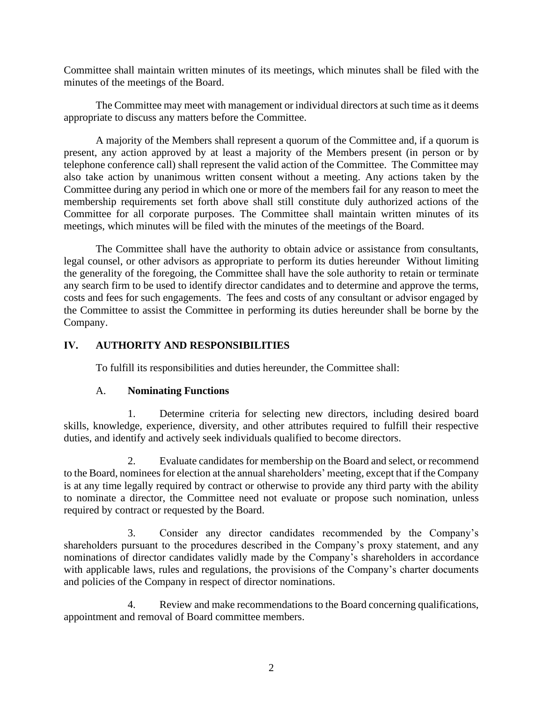Committee shall maintain written minutes of its meetings, which minutes shall be filed with the minutes of the meetings of the Board.

The Committee may meet with management or individual directors at such time as it deems appropriate to discuss any matters before the Committee.

A majority of the Members shall represent a quorum of the Committee and, if a quorum is present, any action approved by at least a majority of the Members present (in person or by telephone conference call) shall represent the valid action of the Committee. The Committee may also take action by unanimous written consent without a meeting. Any actions taken by the Committee during any period in which one or more of the members fail for any reason to meet the membership requirements set forth above shall still constitute duly authorized actions of the Committee for all corporate purposes. The Committee shall maintain written minutes of its meetings, which minutes will be filed with the minutes of the meetings of the Board.

The Committee shall have the authority to obtain advice or assistance from consultants, legal counsel, or other advisors as appropriate to perform its duties hereunder Without limiting the generality of the foregoing, the Committee shall have the sole authority to retain or terminate any search firm to be used to identify director candidates and to determine and approve the terms, costs and fees for such engagements. The fees and costs of any consultant or advisor engaged by the Committee to assist the Committee in performing its duties hereunder shall be borne by the Company.

# **IV. AUTHORITY AND RESPONSIBILITIES**

To fulfill its responsibilities and duties hereunder, the Committee shall:

# A. **Nominating Functions**

1. Determine criteria for selecting new directors, including desired board skills, knowledge, experience, diversity, and other attributes required to fulfill their respective duties, and identify and actively seek individuals qualified to become directors.

2. Evaluate candidates for membership on the Board and select, or recommend to the Board, nominees for election at the annual shareholders' meeting, except that if the Company is at any time legally required by contract or otherwise to provide any third party with the ability to nominate a director, the Committee need not evaluate or propose such nomination, unless required by contract or requested by the Board.

3. Consider any director candidates recommended by the Company's shareholders pursuant to the procedures described in the Company's proxy statement, and any nominations of director candidates validly made by the Company's shareholders in accordance with applicable laws, rules and regulations, the provisions of the Company's charter documents and policies of the Company in respect of director nominations.

4. Review and make recommendations to the Board concerning qualifications, appointment and removal of Board committee members.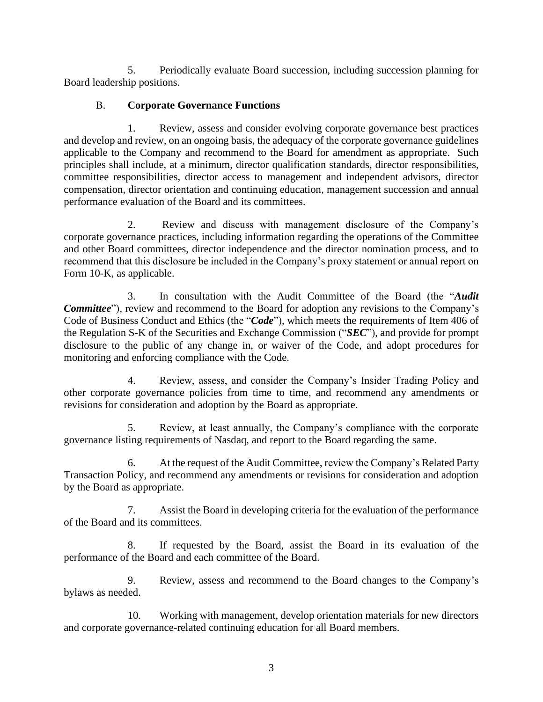5. Periodically evaluate Board succession, including succession planning for Board leadership positions.

# B. **Corporate Governance Functions**

1. Review, assess and consider evolving corporate governance best practices and develop and review, on an ongoing basis, the adequacy of the corporate governance guidelines applicable to the Company and recommend to the Board for amendment as appropriate. Such principles shall include, at a minimum, director qualification standards, director responsibilities, committee responsibilities, director access to management and independent advisors, director compensation, director orientation and continuing education, management succession and annual performance evaluation of the Board and its committees.

2. Review and discuss with management disclosure of the Company's corporate governance practices, including information regarding the operations of the Committee and other Board committees, director independence and the director nomination process, and to recommend that this disclosure be included in the Company's proxy statement or annual report on Form 10-K, as applicable.

3. In consultation with the Audit Committee of the Board (the "*Audit Committee*"), review and recommend to the Board for adoption any revisions to the Company's Code of Business Conduct and Ethics (the "*Code*"), which meets the requirements of Item 406 of the Regulation S-K of the Securities and Exchange Commission ("*SEC*"), and provide for prompt disclosure to the public of any change in, or waiver of the Code, and adopt procedures for monitoring and enforcing compliance with the Code.

4. Review, assess, and consider the Company's Insider Trading Policy and other corporate governance policies from time to time, and recommend any amendments or revisions for consideration and adoption by the Board as appropriate.

5. Review, at least annually, the Company's compliance with the corporate governance listing requirements of Nasdaq, and report to the Board regarding the same.

6. At the request of the Audit Committee, review the Company's Related Party Transaction Policy, and recommend any amendments or revisions for consideration and adoption by the Board as appropriate.

7. Assist the Board in developing criteria for the evaluation of the performance of the Board and its committees.

8. If requested by the Board, assist the Board in its evaluation of the performance of the Board and each committee of the Board.

9. Review, assess and recommend to the Board changes to the Company's bylaws as needed.

10. Working with management, develop orientation materials for new directors and corporate governance-related continuing education for all Board members.